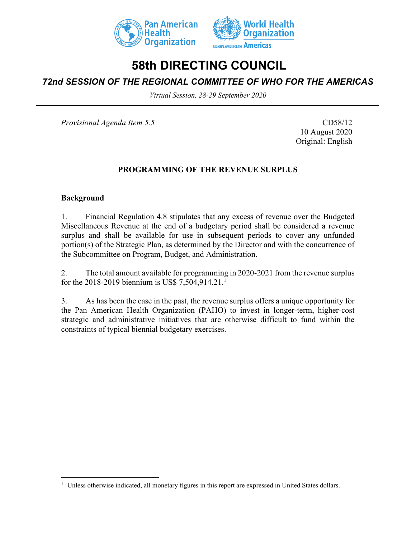



# **58th DIRECTING COUNCIL**

# *72nd SESSION OF THE REGIONAL COMMITTEE OF WHO FOR THE AMERICAS*

*Virtual Session, 28-29 September 2020*

*Provisional Agenda Item 5.5* CD58/12

10 August 2020 Original: English

## **PROGRAMMING OF THE REVENUE SURPLUS**

#### **Background**

1. Financial Regulation 4.8 stipulates that any excess of revenue over the Budgeted Miscellaneous Revenue at the end of a budgetary period shall be considered a revenue surplus and shall be available for use in subsequent periods to cover any unfunded portion(s) of the Strategic Plan, as determined by the Director and with the concurrence of the Subcommittee on Program, Budget, and Administration.

2. The total amount available for programming in 2020-2021 from the revenue surplus for the 2018-2019 biennium is US\$ 7,504,914.21.<sup>1</sup>

3. As has been the case in the past, the revenue surplus offers a unique opportunity for the Pan American Health Organization (PAHO) to invest in longer-term, higher-cost strategic and administrative initiatives that are otherwise difficult to fund within the constraints of typical biennial budgetary exercises.

<sup>&</sup>lt;sup>1</sup> Unless otherwise indicated, all monetary figures in this report are expressed in United States dollars.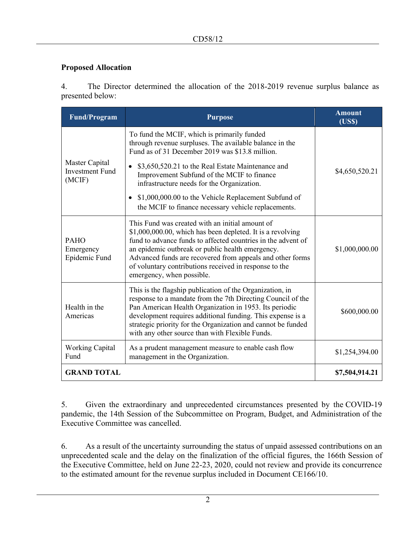### **Proposed Allocation**

4. The Director determined the allocation of the 2018-2019 revenue surplus balance as presented below:

| <b>Fund/Program</b>                                | <b>Purpose</b>                                                                                                                                                                                                                                                                                                                                                                        | <b>Amount</b><br>(USS) |
|----------------------------------------------------|---------------------------------------------------------------------------------------------------------------------------------------------------------------------------------------------------------------------------------------------------------------------------------------------------------------------------------------------------------------------------------------|------------------------|
| Master Capital<br><b>Investment Fund</b><br>(MCIF) | To fund the MCIF, which is primarily funded<br>through revenue surpluses. The available balance in the<br>Fund as of 31 December 2019 was \$13.8 million.                                                                                                                                                                                                                             | \$4,650,520.21         |
|                                                    | \$3,650,520.21 to the Real Estate Maintenance and<br>Improvement Subfund of the MCIF to finance<br>infrastructure needs for the Organization.                                                                                                                                                                                                                                         |                        |
|                                                    | \$1,000,000.00 to the Vehicle Replacement Subfund of<br>the MCIF to finance necessary vehicle replacements.                                                                                                                                                                                                                                                                           |                        |
| <b>PAHO</b><br>Emergency<br>Epidemic Fund          | This Fund was created with an initial amount of<br>\$1,000,000.00, which has been depleted. It is a revolving<br>fund to advance funds to affected countries in the advent of<br>an epidemic outbreak or public health emergency.<br>Advanced funds are recovered from appeals and other forms<br>of voluntary contributions received in response to the<br>emergency, when possible. | \$1,000,000.00         |
| Health in the<br>Americas                          | This is the flagship publication of the Organization, in<br>response to a mandate from the 7th Directing Council of the<br>Pan American Health Organization in 1953. Its periodic<br>development requires additional funding. This expense is a<br>strategic priority for the Organization and cannot be funded<br>with any other source than with Flexible Funds.                    | \$600,000.00           |
| <b>Working Capital</b><br>Fund                     | As a prudent management measure to enable cash flow<br>management in the Organization.                                                                                                                                                                                                                                                                                                | \$1,254,394.00         |
| <b>GRAND TOTAL</b>                                 |                                                                                                                                                                                                                                                                                                                                                                                       | \$7,504,914.21         |

5. Given the extraordinary and unprecedented circumstances presented by the COVID-19 pandemic, the 14th Session of the Subcommittee on Program, Budget, and Administration of the Executive Committee was cancelled.

6. As a result of the uncertainty surrounding the status of unpaid assessed contributions on an unprecedented scale and the delay on the finalization of the official figures, the 166th Session of the Executive Committee, held on June 22-23, 2020, could not review and provide its concurrence to the estimated amount for the revenue surplus included in Document CE166/10.